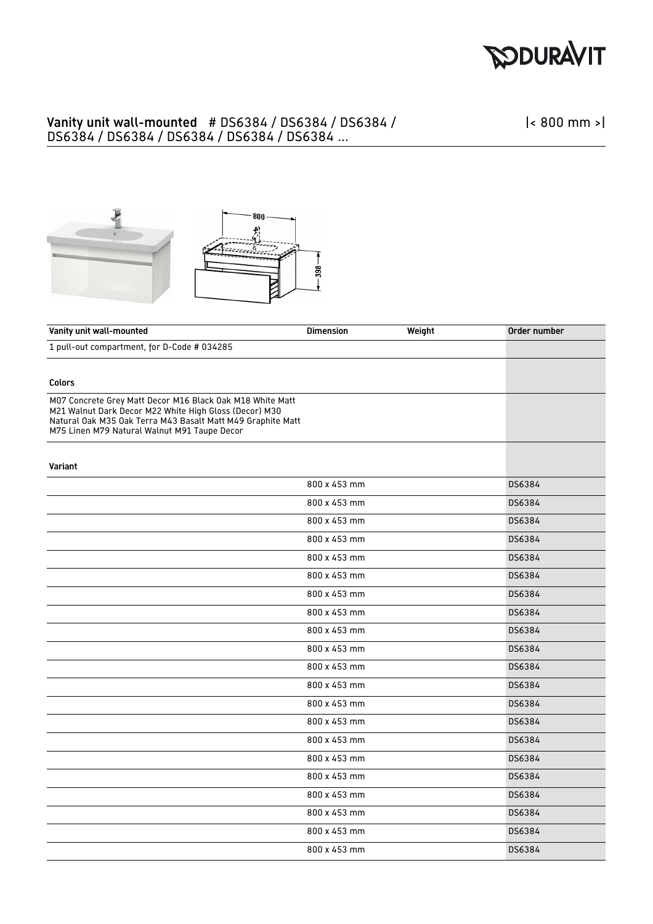

## Vanity unit wall-mounted # DS6384 / DS6384 / DS6384 / DS6384 / DS6384 / DS6384 / DS6384 / DS6384 ...

|< 800 mm >|



| Vanity unit wall-mounted                                                                                                                                                                                                           | <b>Dimension</b> | Weight | Order number |
|------------------------------------------------------------------------------------------------------------------------------------------------------------------------------------------------------------------------------------|------------------|--------|--------------|
| 1 pull-out compartment, for D-Code # 034285                                                                                                                                                                                        |                  |        |              |
|                                                                                                                                                                                                                                    |                  |        |              |
| <b>Colors</b>                                                                                                                                                                                                                      |                  |        |              |
| M07 Concrete Grey Matt Decor M16 Black Oak M18 White Matt<br>M21 Walnut Dark Decor M22 White High Gloss (Decor) M30<br>Natural Oak M35 Oak Terra M43 Basalt Matt M49 Graphite Matt<br>M75 Linen M79 Natural Walnut M91 Taupe Decor |                  |        |              |
| Variant                                                                                                                                                                                                                            |                  |        |              |
|                                                                                                                                                                                                                                    | 800 x 453 mm     |        | DS6384       |
|                                                                                                                                                                                                                                    | 800 x 453 mm     |        | DS6384       |
|                                                                                                                                                                                                                                    | 800 x 453 mm     |        | DS6384       |
|                                                                                                                                                                                                                                    | 800 x 453 mm     |        | DS6384       |
|                                                                                                                                                                                                                                    | 800 x 453 mm     |        | DS6384       |
|                                                                                                                                                                                                                                    | 800 x 453 mm     |        | DS6384       |
|                                                                                                                                                                                                                                    | 800 x 453 mm     |        | DS6384       |
|                                                                                                                                                                                                                                    | 800 x 453 mm     |        | DS6384       |
|                                                                                                                                                                                                                                    | 800 x 453 mm     |        | DS6384       |
|                                                                                                                                                                                                                                    | 800 x 453 mm     |        | DS6384       |
|                                                                                                                                                                                                                                    | 800 x 453 mm     |        | DS6384       |
|                                                                                                                                                                                                                                    | 800 x 453 mm     |        | DS6384       |
|                                                                                                                                                                                                                                    | 800 x 453 mm     |        | DS6384       |
|                                                                                                                                                                                                                                    | 800 x 453 mm     |        | DS6384       |
|                                                                                                                                                                                                                                    | 800 x 453 mm     |        | DS6384       |
|                                                                                                                                                                                                                                    | 800 x 453 mm     |        | DS6384       |
|                                                                                                                                                                                                                                    | 800 x 453 mm     |        | DS6384       |
|                                                                                                                                                                                                                                    | 800 x 453 mm     |        | DS6384       |
|                                                                                                                                                                                                                                    | 800 x 453 mm     |        | DS6384       |
|                                                                                                                                                                                                                                    | 800 x 453 mm     |        | DS6384       |
|                                                                                                                                                                                                                                    | 800 x 453 mm     |        | DS6384       |